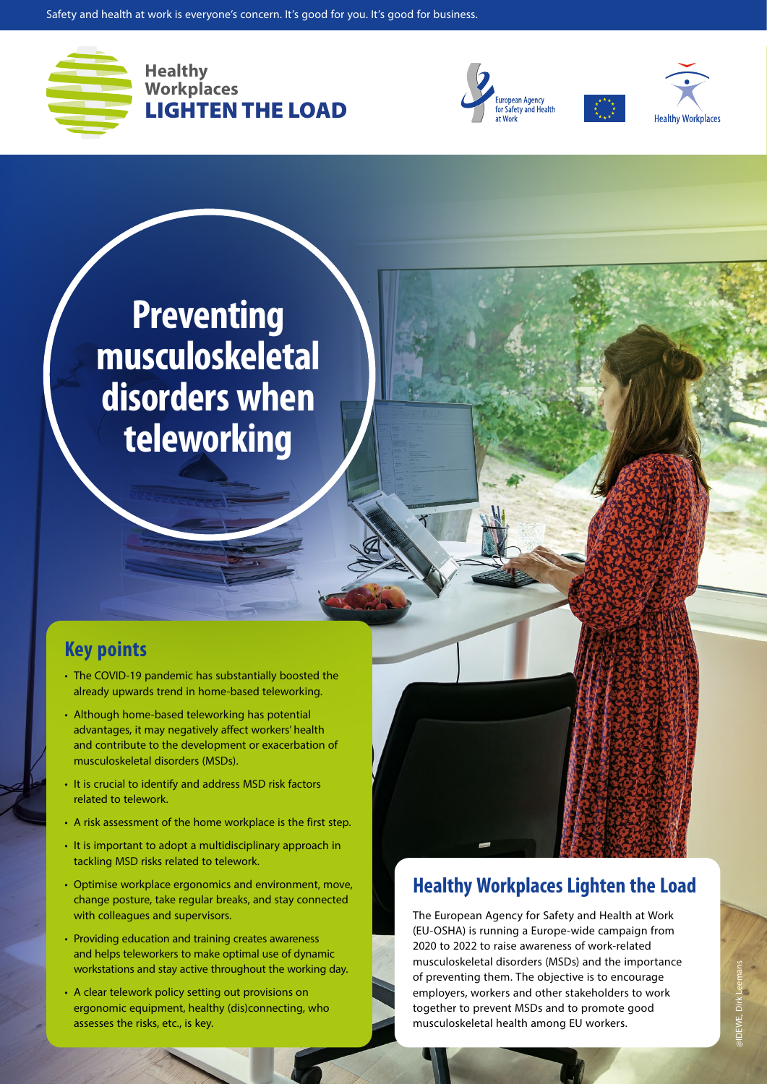

**Healthy Workplaces** LIGHTEN THE LOAD





**Preventing musculoskeletal disorders when teleworking**

## **Key points**

- The COVID-19 pandemic has substantially boosted the already upwards trend in home-based teleworking.
- Although home-based teleworking has potential advantages, it may negatively affect workers' health and contribute to the development or exacerbation of musculoskeletal disorders (MSDs).
- It is crucial to identify and address MSD risk factors related to telework.
- A risk assessment of the home workplace is the first step.
- It is important to adopt a multidisciplinary approach in tackling MSD risks related to telework.
- Optimise workplace ergonomics and environment, move, change posture, take regular breaks, and stay connected with colleagues and supervisors.
- Providing education and training creates awareness and helps teleworkers to make optimal use of dynamic workstations and stay active throughout the working day.
- A clear telework policy setting out provisions on ergonomic equipment, healthy (dis)connecting, who assesses the risks, etc., is key.

# **Healthy Workplaces Lighten the Load**

The European Agency for Safety and Health at Work (EU-OSHA) is running a Europe-wide campaign from 2020 to 2022 to raise awareness of work-related musculoskeletal disorders (MSDs) and the importance of preventing them. The objective is to encourage employers, workers and other stakeholders to work together to prevent MSDs and to promote good musculoskeletal health among EU workers.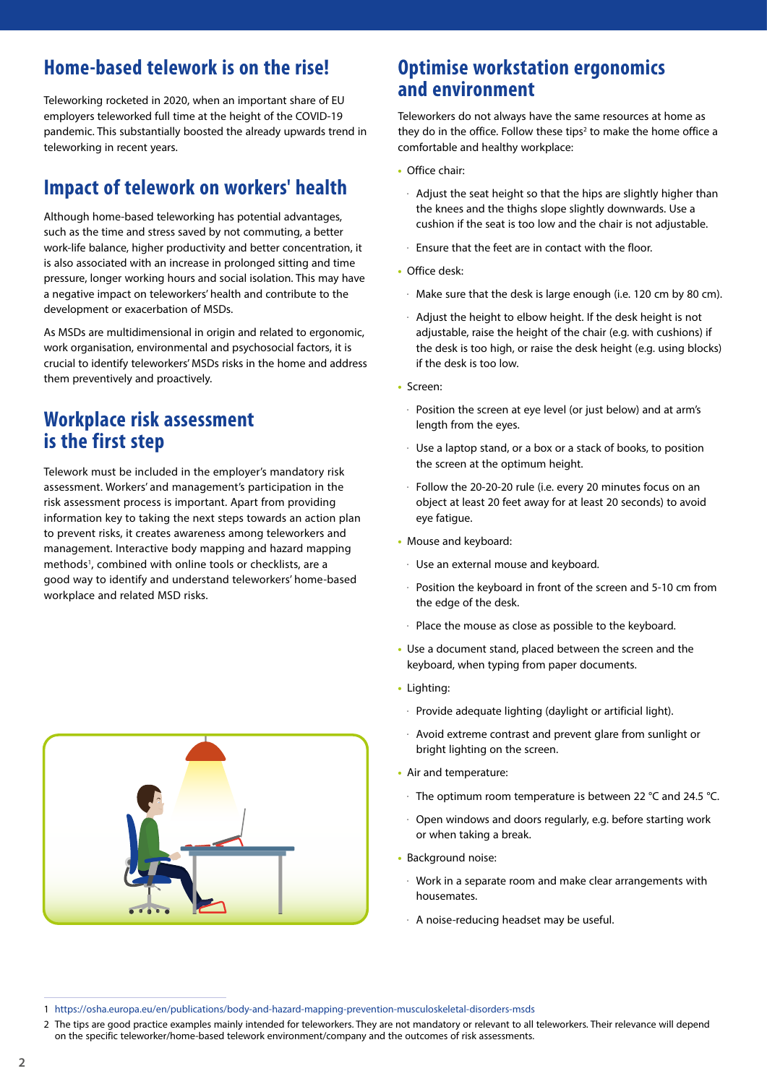# **Home-based telework is on the rise!**

Teleworking rocketed in 2020, when an important share of EU employers teleworked full time at the height of the COVID-19 pandemic. This substantially boosted the already upwards trend in teleworking in recent years.

# **Impact of telework on workers' health**

Although home-based teleworking has potential advantages, such as the time and stress saved by not commuting, a better work-life balance, higher productivity and better concentration, it is also associated with an increase in prolonged sitting and time pressure, longer working hours and social isolation. This may have a negative impact on teleworkers' health and contribute to the development or exacerbation of MSDs.

As MSDs are multidimensional in origin and related to ergonomic, work organisation, environmental and psychosocial factors, it is crucial to identify teleworkers' MSDs risks in the home and address them preventively and proactively.

## **Workplace risk assessment is the first step**

Telework must be included in the employer's mandatory risk assessment. Workers' and management's participation in the risk assessment process is important. Apart from providing information key to taking the next steps towards an action plan to prevent risks, it creates awareness among teleworkers and management. Interactive body mapping and hazard mapping methods<sup>1</sup>, combined with online tools or checklists, are a good way to identify and understand teleworkers' home-based workplace and related MSD risks.



## **Optimise workstation ergonomics and environment**

Teleworkers do not always have the same resources at home as they do in the office. Follow these tips<sup>2</sup> to make the home office a comfortable and healthy workplace:

- **•** Office chair:
- $\cdot$  Adjust the seat height so that the hips are slightly higher than the knees and the thighs slope slightly downwards. Use a cushion if the seat is too low and the chair is not adjustable.
- $\cdot$  Ensure that the feet are in contact with the floor.
- **•** Office desk:
	- $\cdot$  Make sure that the desk is large enough (i.e. 120 cm by 80 cm).
	- Adjust the height to elbow height. If the desk height is not adjustable, raise the height of the chair (e.g. with cushions) if the desk is too high, or raise the desk height (e.g. using blocks) if the desk is too low.
- **•** Screen:
	- $\cdot$  Position the screen at eye level (or just below) and at arm's length from the eyes.
	- Use a laptop stand, or a box or a stack of books, to position the screen at the optimum height.
- Follow the 20-20-20 rule (i.e. every 20 minutes focus on an object at least 20 feet away for at least 20 seconds) to avoid eye fatigue.
- **•** Mouse and keyboard:
	- $\cdot$  Use an external mouse and keyboard.
	- $\cdot$  Position the keyboard in front of the screen and 5-10 cm from the edge of the desk.
- $\cdot$  Place the mouse as close as possible to the keyboard.
- **•** Use a document stand, placed between the screen and the keyboard, when typing from paper documents.
- **•** Lighting:
	- $\cdot$  Provide adequate lighting (daylight or artificial light).
	- $\cdot$  Avoid extreme contrast and prevent glare from sunlight or bright lighting on the screen.
- **•** Air and temperature:
	- $\cdot$  The optimum room temperature is between 22 °C and 24.5 °C.
	- $\cdot$  Open windows and doors regularly, e.g. before starting work or when taking a break.
- **•** Background noise:
	- Work in a separate room and make clear arrangements with housemates.
	- $\cdot$  A noise-reducing headset may be useful.

2 The tips are good practice examples mainly intended for teleworkers. They are not mandatory or relevant to all teleworkers. Their relevance will depend on the specific teleworker/home-based telework environment/company and the outcomes of risk assessments.

<sup>1</sup> [https://osha.europa.eu/en/publications/body-and-hazard-mapping-prevention-musculoskeletal-disorders-msds](https://osha.europa.eu/en/publications/body-and-hazard-mapping-prevention-musculoskeletal-disorders-)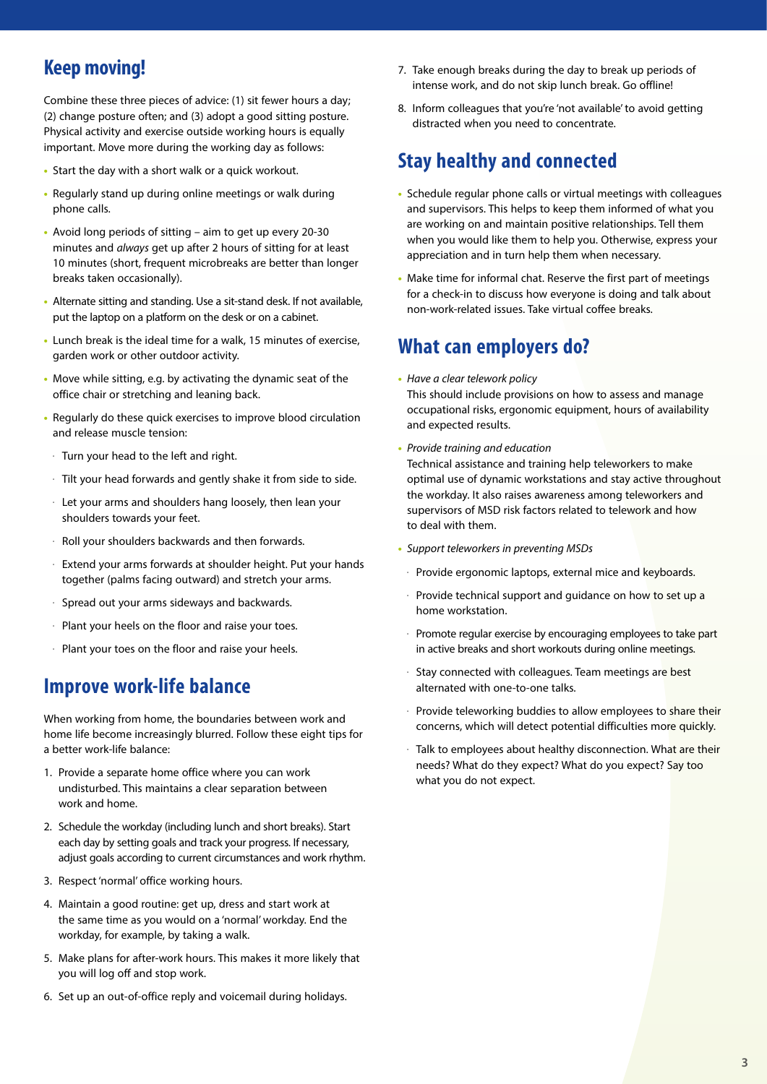# **Keep moving!**

Combine these three pieces of advice: (1) sit fewer hours a day; (2) change posture often; and (3) adopt a good sitting posture. Physical activity and exercise outside working hours is equally important. Move more during the working day as follows:

- **•** Start the day with a short walk or a quick workout.
- **•** Regularly stand up during online meetings or walk during phone calls.
- **•** Avoid long periods of sitting aim to get up every 20-30 minutes and *always* get up after 2 hours of sitting for at least 10 minutes (short, frequent microbreaks are better than longer breaks taken occasionally).
- **•** Alternate sitting and standing. Use a sit-stand desk. If not available, put the laptop on a platform on the desk or on a cabinet.
- **•** Lunch break is the ideal time for a walk, 15 minutes of exercise, garden work or other outdoor activity.
- **•** Move while sitting, e.g. by activating the dynamic seat of the office chair or stretching and leaning back.
- **•** Regularly do these quick exercises to improve blood circulation and release muscle tension:
- $\cdot$  Turn your head to the left and right.
- $\cdot$  Tilt your head forwards and gently shake it from side to side.
- $\cdot$  Let your arms and shoulders hang loosely, then lean your shoulders towards your feet.
- $\cdot$  Roll your shoulders backwards and then forwards.
- $\cdot$  Extend your arms forwards at shoulder height. Put your hands together (palms facing outward) and stretch your arms.
- $\cdot$  Spread out your arms sideways and backwards.
- $\cdot$  Plant your heels on the floor and raise your toes.
- $\cdot$  Plant your toes on the floor and raise your heels.

## **Improve work-life balance**

When working from home, the boundaries between work and home life become increasingly blurred. Follow these eight tips for a better work-life balance:

- 1. Provide a separate home office where you can work undisturbed. This maintains a clear separation between work and home.
- 2. Schedule the workday (including lunch and short breaks). Start each day by setting goals and track your progress. If necessary, adjust goals according to current circumstances and work rhythm.
- 3. Respect 'normal' office working hours.
- 4. Maintain a good routine: get up, dress and start work at the same time as you would on a 'normal' workday. End the workday, for example, by taking a walk.
- 5. Make plans for after-work hours. This makes it more likely that you will log off and stop work.
- 6. Set up an out-of-office reply and voicemail during holidays.
- 7. Take enough breaks during the day to break up periods of intense work, and do not skip lunch break. Go offline!
- 8. Inform colleagues that you're 'not available' to avoid getting distracted when you need to concentrate.

### **Stay healthy and connected**

- **•** Schedule regular phone calls or virtual meetings with colleagues and supervisors. This helps to keep them informed of what you are working on and maintain positive relationships. Tell them when you would like them to help you. Otherwise, express your appreciation and in turn help them when necessary.
- **•** Make time for informal chat. Reserve the first part of meetings for a check-in to discuss how everyone is doing and talk about non-work-related issues. Take virtual coffee breaks.

### **What can employers do?**

- **•** *Have a clear telework policy* This should include provisions on how to assess and manage occupational risks, ergonomic equipment, hours of availability and expected results.
- **•** *Provide training and education*

Technical assistance and training help teleworkers to make optimal use of dynamic workstations and stay active throughout the workday. It also raises awareness among teleworkers and supervisors of MSD risk factors related to telework and how to deal with them.

- **•** *Support teleworkers in preventing MSDs*
	- ő Provide ergonomic laptops, external mice and keyboards.
	- Provide technical support and guidance on how to set up a home workstation.
	- Promote regular exercise by encouraging employees to take part in active breaks and short workouts during online meetings.
- Stay connected with colleagues. Team meetings are best alternated with one-to-one talks.
- Provide teleworking buddies to allow employees to share their concerns, which will detect potential difficulties more quickly.
- Talk to employees about healthy disconnection. What are their needs? What do they expect? What do you expect? Say too what you do not expect.